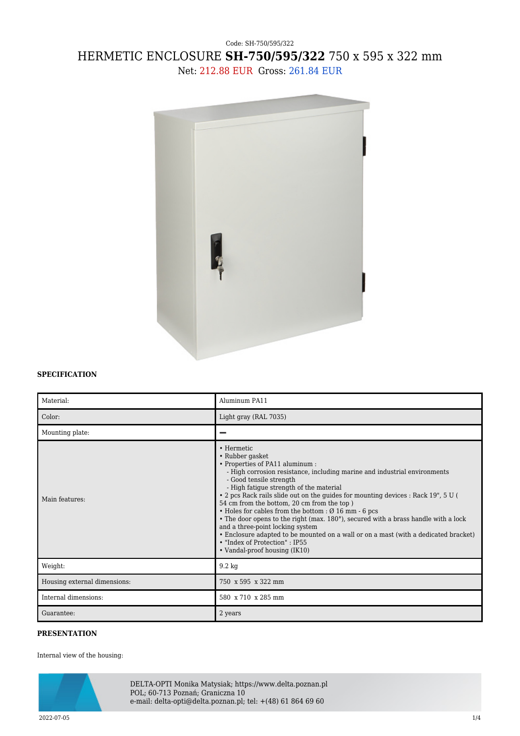## Code: SH-750/595/322 HERMETIC ENCLOSURE **SH-750/595/322** 750 x 595 x 322 mm Net: 212.88 EUR Gross: 261.84 EUR



## **SPECIFICATION**

| Material:                    | Aluminum PA11                                                                                                                                                                                                                                                                                                                                                                                                                                                                                                                                                                                                                                                                                                          |
|------------------------------|------------------------------------------------------------------------------------------------------------------------------------------------------------------------------------------------------------------------------------------------------------------------------------------------------------------------------------------------------------------------------------------------------------------------------------------------------------------------------------------------------------------------------------------------------------------------------------------------------------------------------------------------------------------------------------------------------------------------|
| Color:                       | Light gray (RAL 7035)                                                                                                                                                                                                                                                                                                                                                                                                                                                                                                                                                                                                                                                                                                  |
| Mounting plate:              |                                                                                                                                                                                                                                                                                                                                                                                                                                                                                                                                                                                                                                                                                                                        |
| Main features:               | • Hermetic<br>• Rubber gasket<br>• Properties of PA11 aluminum :<br>- High corrosion resistance, including marine and industrial environments<br>- Good tensile strength<br>- High fatigue strength of the material<br>. 2 pcs Rack rails slide out on the guides for mounting devices : Rack 19", 5 U (<br>54 cm from the bottom, 20 cm from the top)<br>$\bullet$ Holes for cables from the bottom : $\varnothing$ 16 mm - 6 pcs<br>• The door opens to the right (max. 180°), secured with a brass handle with a lock<br>and a three-point locking system<br>• Enclosure adapted to be mounted on a wall or on a mast (with a dedicated bracket)<br>• "Index of Protection" : IP55<br>• Vandal-proof housing (IK10) |
| Weight:                      | $9.2 \text{ kg}$                                                                                                                                                                                                                                                                                                                                                                                                                                                                                                                                                                                                                                                                                                       |
| Housing external dimensions: | 750 x 595 x 322 mm                                                                                                                                                                                                                                                                                                                                                                                                                                                                                                                                                                                                                                                                                                     |
| Internal dimensions:         | 580 x 710 x 285 mm                                                                                                                                                                                                                                                                                                                                                                                                                                                                                                                                                                                                                                                                                                     |
| Guarantee:                   | 2 years                                                                                                                                                                                                                                                                                                                                                                                                                                                                                                                                                                                                                                                                                                                |

## **PRESENTATION**

Internal view of the housing:



DELTA-OPTI Monika Matysiak; https://www.delta.poznan.pl POL; 60-713 Poznań; Graniczna 10 e-mail: delta-opti@delta.poznan.pl; tel: +(48) 61 864 69 60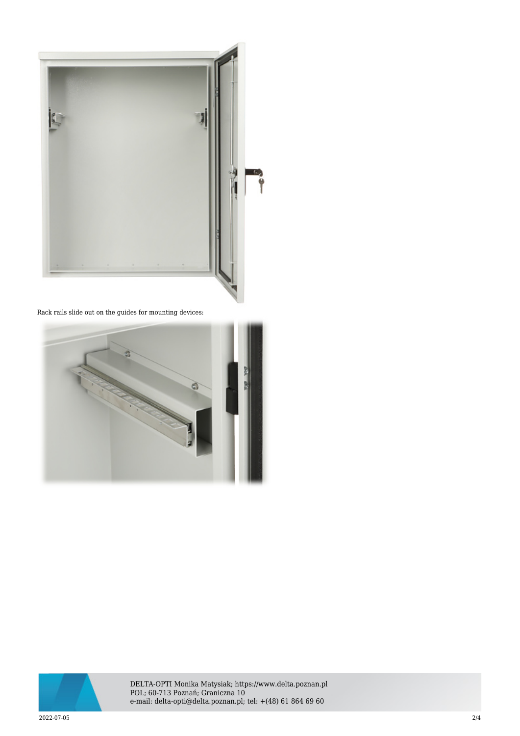

Rack rails slide out on the guides for mounting devices:





DELTA-OPTI Monika Matysiak; https://www.delta.poznan.pl POL; 60-713 Poznań; Graniczna 10 e-mail: delta-opti@delta.poznan.pl; tel: +(48) 61 864 69 60

2022-07-05 2/4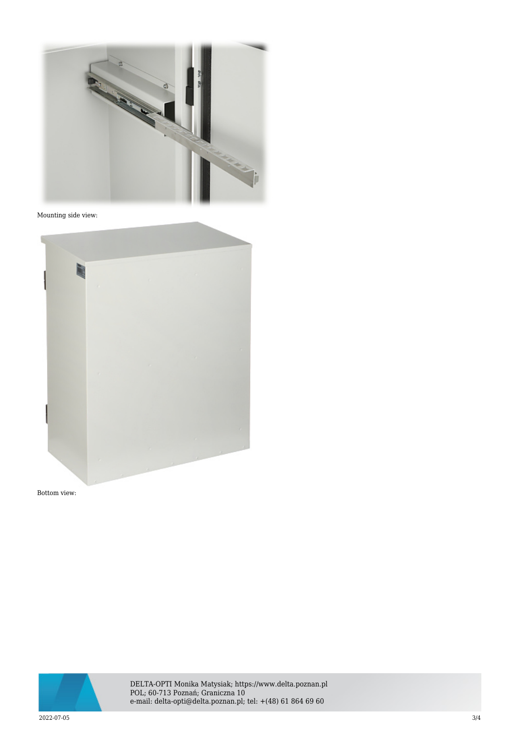

## Mounting side view:



Bottom view:



DELTA-OPTI Monika Matysiak; https://www.delta.poznan.pl POL; 60-713 Poznań; Graniczna 10 e-mail: delta-opti@delta.poznan.pl; tel: +(48) 61 864 69 60

2022-07-05 3/4